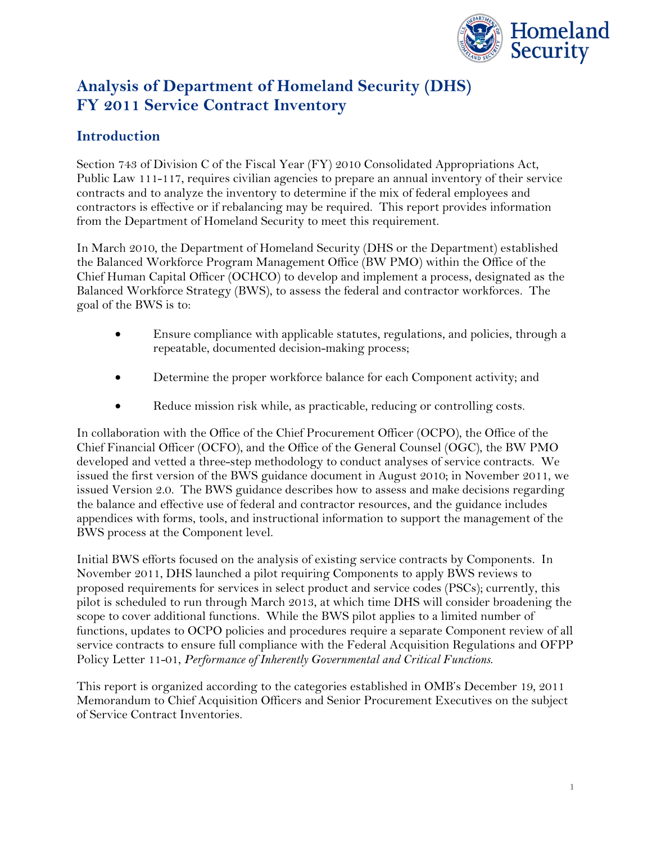

# **Analysis of Department of Homeland Security (DHS) FY 2011 Service Contract Inventory**

### **Introduction**

Section 743 of Division C of the Fiscal Year (FY) 2010 Consolidated Appropriations Act, Public Law 111-117, requires civilian agencies to prepare an annual inventory of their service contracts and to analyze the inventory to determine if the mix of federal employees and contractors is effective or if rebalancing may be required. This report provides information from the Department of Homeland Security to meet this requirement.

In March 2010, the Department of Homeland Security (DHS or the Department) established the Balanced Workforce Program Management Office (BW PMO) within the Office of the Chief Human Capital Officer (OCHCO) to develop and implement a process, designated as the Balanced Workforce Strategy (BWS), to assess the federal and contractor workforces. The goal of the BWS is to:

- Ensure compliance with applicable statutes, regulations, and policies, through a repeatable, documented decision-making process;
- Determine the proper workforce balance for each Component activity; and
- Reduce mission risk while, as practicable, reducing or controlling costs.

In collaboration with the Office of the Chief Procurement Officer (OCPO), the Office of the Chief Financial Officer (OCFO), and the Office of the General Counsel (OGC), the BW PMO developed and vetted a three-step methodology to conduct analyses of service contracts. We issued the first version of the BWS guidance document in August 2010; in November 2011, we issued Version 2.0. The BWS guidance describes how to assess and make decisions regarding the balance and effective use of federal and contractor resources, and the guidance includes appendices with forms, tools, and instructional information to support the management of the BWS process at the Component level.

Initial BWS efforts focused on the analysis of existing service contracts by Components. In November 2011, DHS launched a pilot requiring Components to apply BWS reviews to proposed requirements for services in select product and service codes (PSCs); currently, this pilot is scheduled to run through March 2013, at which time DHS will consider broadening the scope to cover additional functions. While the BWS pilot applies to a limited number of functions, updates to OCPO policies and procedures require a separate Component review of all service contracts to ensure full compliance with the Federal Acquisition Regulations and OFPP Policy Letter 11-01, *Performance of Inherently Governmental and Critical Functions*.

This report is organized according to the categories established in OMB's December 19, 2011 Memorandum to Chief Acquisition Officers and Senior Procurement Executives on the subject of Service Contract Inventories.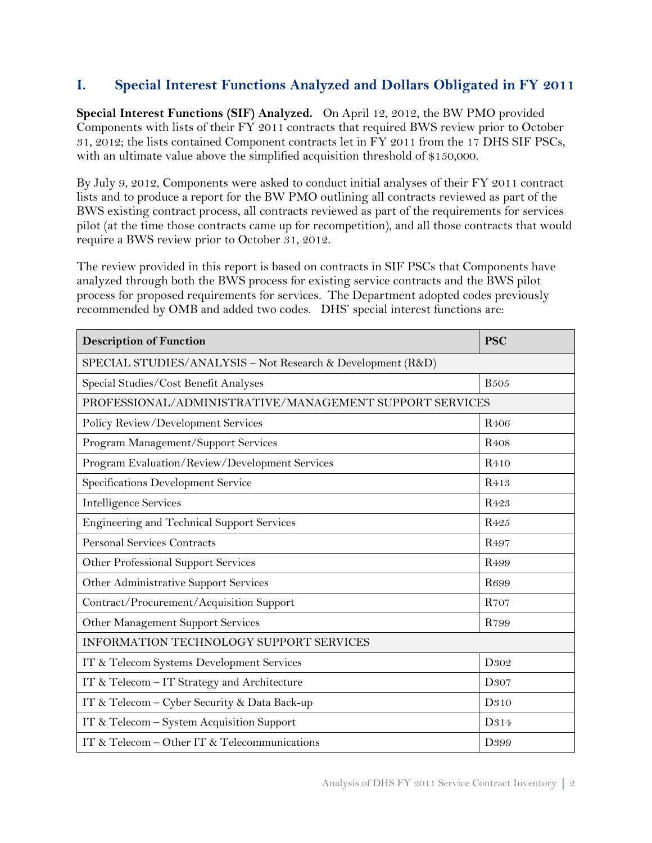### **I. Special Interest Functions Analyzed and Dollars Obligated in FY 2011**

**Special Interest Functions (SIF) Analyzed.** On April 12, 2012, the BW PMO provided Components with lists of their FY 2011 contracts that required BWS review prior to October 31, 2012; the lists contained Component contracts let in FY 2011 from the 17 DHS SIF PSCs, with an ultimate value above the simplified acquisition threshold of \$150,000.

By July 9, 2012, Components were asked to conduct initial analyses of their FY 2011 contract lists and to produce a report for the BW PMO outlining all contracts reviewed as part of the BWS existing contract process, all contracts reviewed as part of the requirements for services pilot (at the time those contracts came up for recompetition), and all those contracts that would require a BWS review prior to October 31, 2012.

The review provided in this report is based on contracts in SIF PSCs that Components have analyzed through both the BWS process for existing service contracts and the BWS pilot process for proposed requirements for services. The Department adopted codes previously recommended by OMB and added two codes. DHS' special interest functions are:

| <b>Description of Function</b>                              | <b>PSC</b>       |  |
|-------------------------------------------------------------|------------------|--|
| SPECIAL STUDIES/ANALYSIS - Not Research & Development (R&D) |                  |  |
| Special Studies/Cost Benefit Analyses                       | <b>B505</b>      |  |
| PROFESSIONAL/ADMINISTRATIVE/MANAGEMENT SUPPORT SERVICES     |                  |  |
| Policy Review/Development Services                          | R <sub>406</sub> |  |
| Program Management/Support Services                         | R <sub>408</sub> |  |
| Program Evaluation/Review/Development Services              | R <sub>410</sub> |  |
| Specifications Development Service                          | R <sub>413</sub> |  |
| <b>Intelligence Services</b>                                | R <sub>423</sub> |  |
| Engineering and Technical Support Services                  | R <sub>425</sub> |  |
| <b>Personal Services Contracts</b>                          | R <sub>497</sub> |  |
| Other Professional Support Services                         | R <sub>499</sub> |  |
| Other Administrative Support Services                       | R <sub>699</sub> |  |
| Contract/Procurement/Acquisition Support                    | <b>R707</b>      |  |
| Other Management Support Services                           | R799             |  |
| <b>INFORMATION TECHNOLOGY SUPPORT SERVICES</b>              |                  |  |
| IT & Telecom Systems Development Services                   | D <sub>302</sub> |  |
| IT & Telecom - IT Strategy and Architecture                 | D <sub>307</sub> |  |
| IT & Telecom - Cyber Security & Data Back-up                | D <sub>310</sub> |  |
| IT & Telecom - System Acquisition Support                   | D314             |  |
| IT & Telecom - Other IT & Telecommunications                | D <sub>399</sub> |  |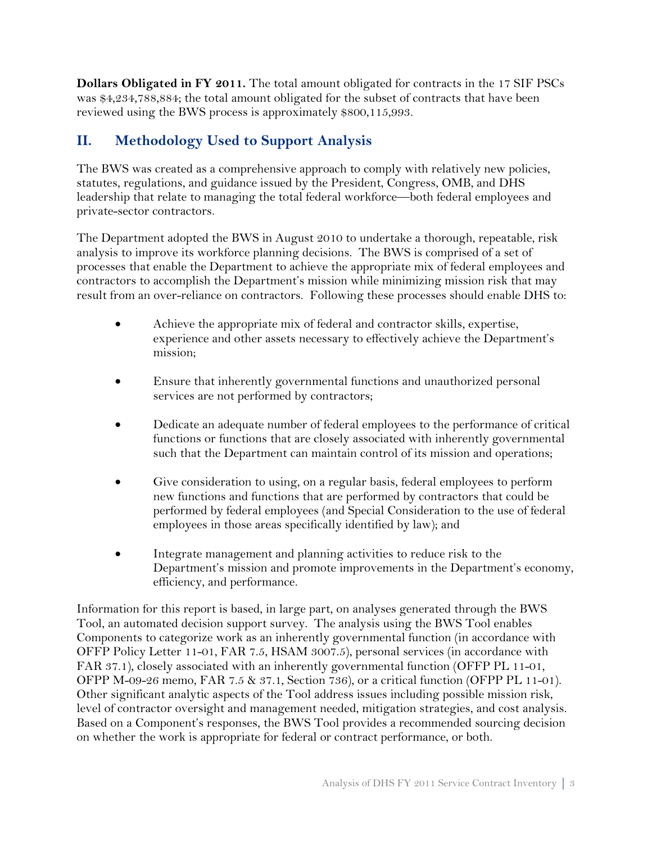**Dollars Obligated in FY 2011.** The total amount obligated for contracts in the 17 SIF PSCs was \$4,234,788,884; the total amount obligated for the subset of contracts that have been reviewed using the BWS process is approximately \$800,115,993.

# **II. Methodology Used to Support Analysis**

The BWS was created as a comprehensive approach to comply with relatively new policies, statutes, regulations, and guidance issued by the President, Congress, OMB, and DHS leadership that relate to managing the total federal workforce—both federal employees and private-sector contractors.

The Department adopted the BWS in August 2010 to undertake a thorough, repeatable, risk analysis to improve its workforce planning decisions. The BWS is comprised of a set of processes that enable the Department to achieve the appropriate mix of federal employees and contractors to accomplish the Department's mission while minimizing mission risk that may result from an over-reliance on contractors. Following these processes should enable DHS to:

- Achieve the appropriate mix of federal and contractor skills, expertise, experience and other assets necessary to effectively achieve the Department's mission;
- Ensure that inherently governmental functions and unauthorized personal services are not performed by contractors;
- Dedicate an adequate number of federal employees to the performance of critical functions or functions that are closely associated with inherently governmental such that the Department can maintain control of its mission and operations;
- Give consideration to using, on a regular basis, federal employees to perform new functions and functions that are performed by contractors that could be performed by federal employees (and Special Consideration to the use of federal employees in those areas specifically identified by law); and
- Integrate management and planning activities to reduce risk to the Department's mission and promote improvements in the Department's economy, efficiency, and performance.

Information for this report is based, in large part, on analyses generated through the BWS Tool, an automated decision support survey. The analysis using the BWS Tool enables Components to categorize work as an inherently governmental function (in accordance with OFFP Policy Letter 11-01, FAR 7.5, HSAM 3007.5), personal services (in accordance with FAR 37.1), closely associated with an inherently governmental function (OFFP PL 11-01, OFPP M-09-26 memo, FAR 7.5 & 37.1, Section 736), or a critical function (OFPP PL 11-01). Other significant analytic aspects of the Tool address issues including possible mission risk, level of contractor oversight and management needed, mitigation strategies, and cost analysis. Based on a Component's responses, the BWS Tool provides a recommended sourcing decision on whether the work is appropriate for federal or contract performance, or both.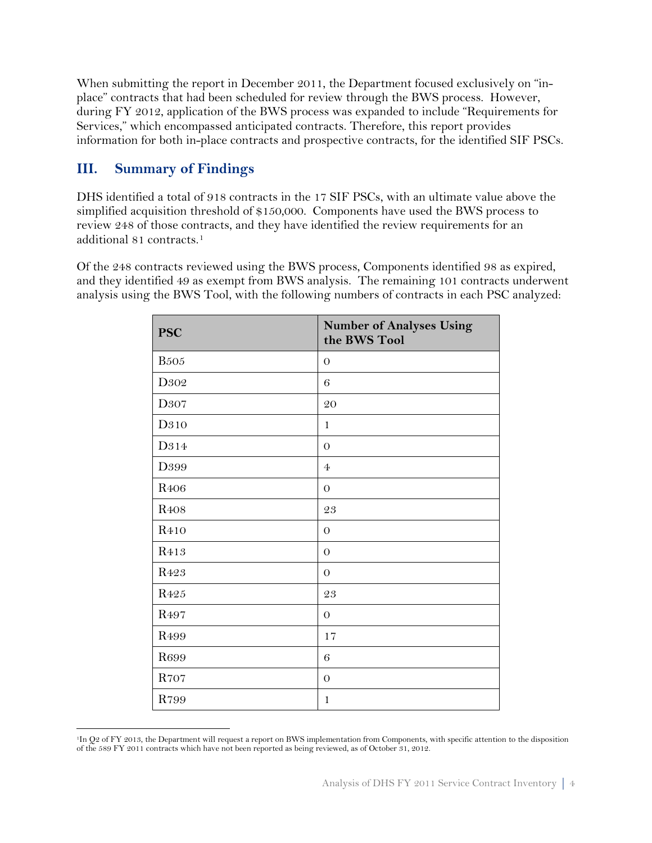When submitting the report in December 2011, the Department focused exclusively on "inplace" contracts that had been scheduled for review through the BWS process. However, during FY 2012, application of the BWS process was expanded to include "Requirements for Services," which encompassed anticipated contracts. Therefore, this report provides information for both in-place contracts and prospective contracts, for the identified SIF PSCs.

### **III. Summary of Findings**

DHS identified a total of 918 contracts in the 17 SIF PSCs, with an ultimate value above the simplified acquisition threshold of \$150,000. Components have used the BWS process to review 248 of those contracts, and they have identified the review requirements for an additional 81 contracts.[1](#page-3-0)

Of the 248 contracts reviewed using the BWS process, Components identified 98 as expired, and they identified 49 as exempt from BWS analysis. The remaining 101 contracts underwent analysis using the BWS Tool, with the following numbers of contracts in each PSC analyzed:

| <b>PSC</b>       | <b>Number of Analyses Using</b><br>the BWS Tool |
|------------------|-------------------------------------------------|
| <b>B</b> 505     | $\theta$                                        |
| D302             | $\,6$                                           |
| D307             | 20                                              |
| D310             | $\mathbf{1}$                                    |
| D314             | $\overline{0}$                                  |
| D399             | $\overline{4}$                                  |
| R <sub>406</sub> | $\overline{0}$                                  |
| R <sub>408</sub> | 23                                              |
| R <sub>410</sub> | $\theta$                                        |
| R <sub>413</sub> | $\theta$                                        |
| R423             | $\overline{O}$                                  |
| R425             | 23                                              |
| R <sub>497</sub> | $\theta$                                        |
| R <sub>499</sub> | 17                                              |
| R699             | 6                                               |
| R707             | $\overline{0}$                                  |
| R799             | $\mathbf{1}$                                    |

<span id="page-3-0"></span> $\overline{a}$ 1In Q2 of FY 2013, the Department will request a report on BWS implementation from Components, with specific attention to the disposition of the 589 FY 2011 contracts which have not been reported as being reviewed, as of October 31, 2012.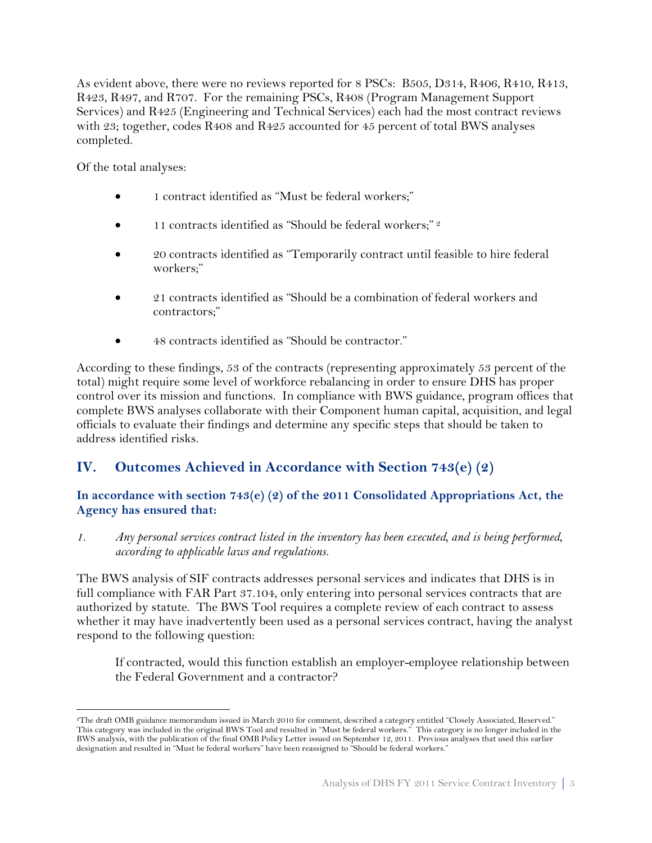As evident above, there were no reviews reported for 8 PSCs: B505, D314, R406, R410, R413, R423, R497, and R707. For the remaining PSCs, R408 (Program Management Support Services) and R425 (Engineering and Technical Services) each had the most contract reviews with 23; together, codes R408 and R425 accounted for 45 percent of total BWS analyses completed.

Of the total analyses:

- 1 contract identified as "Must be federal workers;"
- 11 contracts identified as "Should be federal workers;" <sup>[2](#page-4-0)</sup>
- 20 contracts identified as "Temporarily contract until feasible to hire federal workers;"
- 21 contracts identified as "Should be a combination of federal workers and contractors;"
- 48 contracts identified as "Should be contractor."

According to these findings, 53 of the contracts (representing approximately 53 percent of the total) might require some level of workforce rebalancing in order to ensure DHS has proper control over its mission and functions. In compliance with BWS guidance, program offices that complete BWS analyses collaborate with their Component human capital, acquisition, and legal officials to evaluate their findings and determine any specific steps that should be taken to address identified risks.

# **IV. Outcomes Achieved in Accordance with Section 743(e) (2)**

#### **In accordance with section 743(e) (2) of the 2011 Consolidated Appropriations Act, the Agency has ensured that:**

*1. Any personal services contract listed in the inventory has been executed, and is being performed, according to applicable laws and regulations.*

The BWS analysis of SIF contracts addresses personal services and indicates that DHS is in full compliance with FAR Part 37.104, only entering into personal services contracts that are authorized by statute. The BWS Tool requires a complete review of each contract to assess whether it may have inadvertently been used as a personal services contract, having the analyst respond to the following question:

If contracted, would this function establish an employer-employee relationship between the Federal Government and a contractor?

<span id="page-4-0"></span> $\overline{a}$ 2The draft OMB guidance memorandum issued in March 2010 for comment, described a category entitled "Closely Associated, Reserved." This category was included in the original BWS Tool and resulted in "Must be federal workers." This category is no longer included in the BWS analysis, with the publication of the final OMB Policy Letter issued on September 12, 2011. Previous analyses that used this earlier designation and resulted in "Must be federal workers" have been reassigned to "Should be federal workers."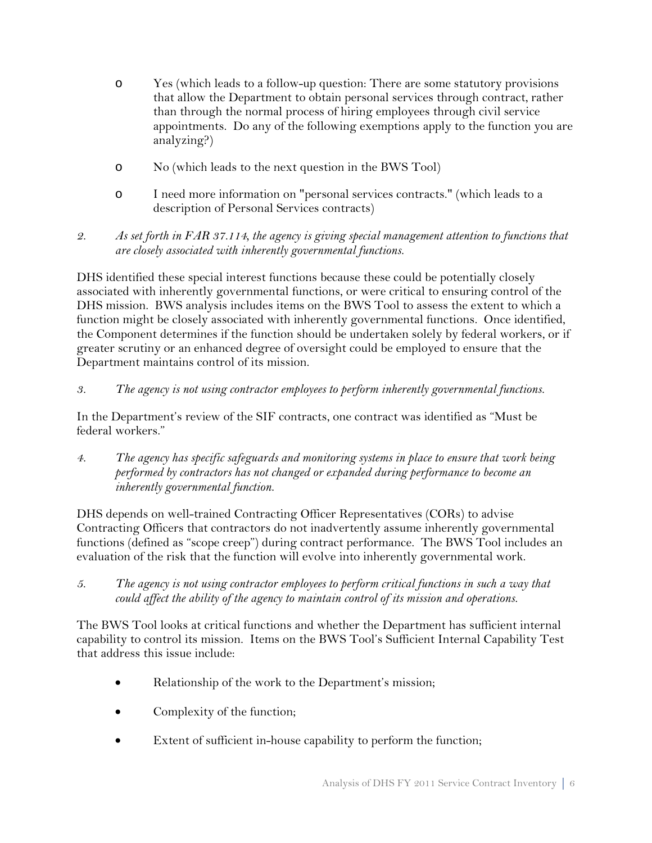- o Yes (which leads to a follow-up question: There are some statutory provisions that allow the Department to obtain personal services through contract, rather than through the normal process of hiring employees through civil service appointments. Do any of the following exemptions apply to the function you are analyzing?)
- o No (which leads to the next question in the BWS Tool)
- o I need more information on "personal services contracts." (which leads to a description of Personal Services contracts)
- *2. As set forth in FAR 37.114, the agency is giving special management attention to functions that are closely associated with inherently governmental functions.*

DHS identified these special interest functions because these could be potentially closely associated with inherently governmental functions, or were critical to ensuring control of the DHS mission. BWS analysis includes items on the BWS Tool to assess the extent to which a function might be closely associated with inherently governmental functions. Once identified, the Component determines if the function should be undertaken solely by federal workers, or if greater scrutiny or an enhanced degree of oversight could be employed to ensure that the Department maintains control of its mission.

#### *3. The agency is not using contractor employees to perform inherently governmental functions.*

In the Department's review of the SIF contracts, one contract was identified as "Must be federal workers."

*4. The agency has specific safeguards and monitoring systems in place to ensure that work being performed by contractors has not changed or expanded during performance to become an inherently governmental function.*

DHS depends on well-trained Contracting Officer Representatives (CORs) to advise Contracting Officers that contractors do not inadvertently assume inherently governmental functions (defined as "scope creep") during contract performance. The BWS Tool includes an evaluation of the risk that the function will evolve into inherently governmental work.

*5. The agency is not using contractor employees to perform critical functions in such a way that could affect the ability of the agency to maintain control of its mission and operations.*

The BWS Tool looks at critical functions and whether the Department has sufficient internal capability to control its mission. Items on the BWS Tool's Sufficient Internal Capability Test that address this issue include:

- Relationship of the work to the Department's mission;
- Complexity of the function;
- Extent of sufficient in-house capability to perform the function;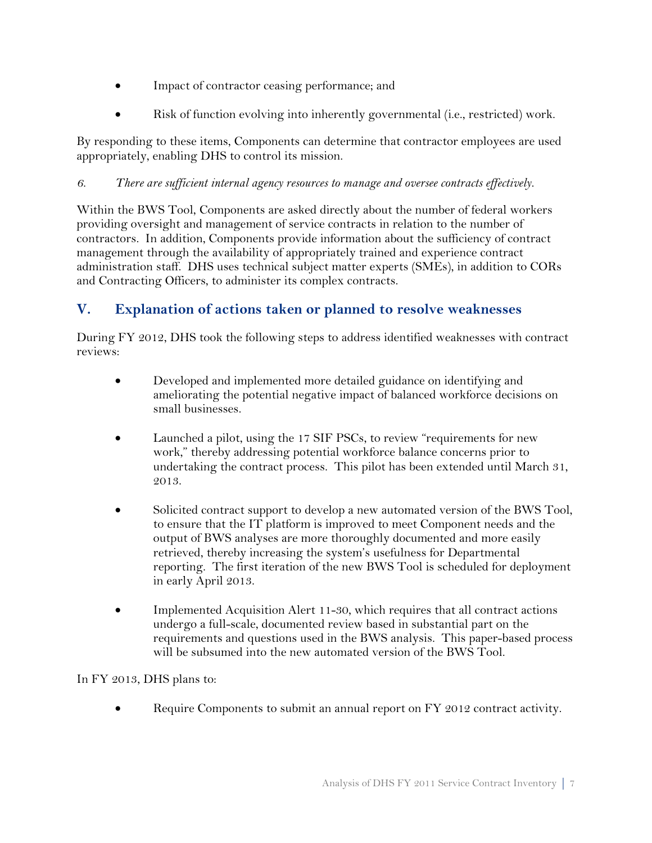- Impact of contractor ceasing performance; and
- Risk of function evolving into inherently governmental (i.e., restricted) work.

By responding to these items, Components can determine that contractor employees are used appropriately, enabling DHS to control its mission.

#### *6. There are sufficient internal agency resources to manage and oversee contracts effectively.*

Within the BWS Tool, Components are asked directly about the number of federal workers providing oversight and management of service contracts in relation to the number of contractors. In addition, Components provide information about the sufficiency of contract management through the availability of appropriately trained and experience contract administration staff. DHS uses technical subject matter experts (SMEs), in addition to CORs and Contracting Officers, to administer its complex contracts.

# **V. Explanation of actions taken or planned to resolve weaknesses**

During FY 2012, DHS took the following steps to address identified weaknesses with contract reviews:

- Developed and implemented more detailed guidance on identifying and ameliorating the potential negative impact of balanced workforce decisions on small businesses.
- Launched a pilot, using the 17 SIF PSCs, to review "requirements for new work," thereby addressing potential workforce balance concerns prior to undertaking the contract process. This pilot has been extended until March 31, 2013.
- Solicited contract support to develop a new automated version of the BWS Tool, to ensure that the IT platform is improved to meet Component needs and the output of BWS analyses are more thoroughly documented and more easily retrieved, thereby increasing the system's usefulness for Departmental reporting. The first iteration of the new BWS Tool is scheduled for deployment in early April 2013.
- Implemented Acquisition Alert 11-30, which requires that all contract actions undergo a full-scale, documented review based in substantial part on the requirements and questions used in the BWS analysis. This paper-based process will be subsumed into the new automated version of the BWS Tool.

In FY 2013, DHS plans to:

Require Components to submit an annual report on FY 2012 contract activity.